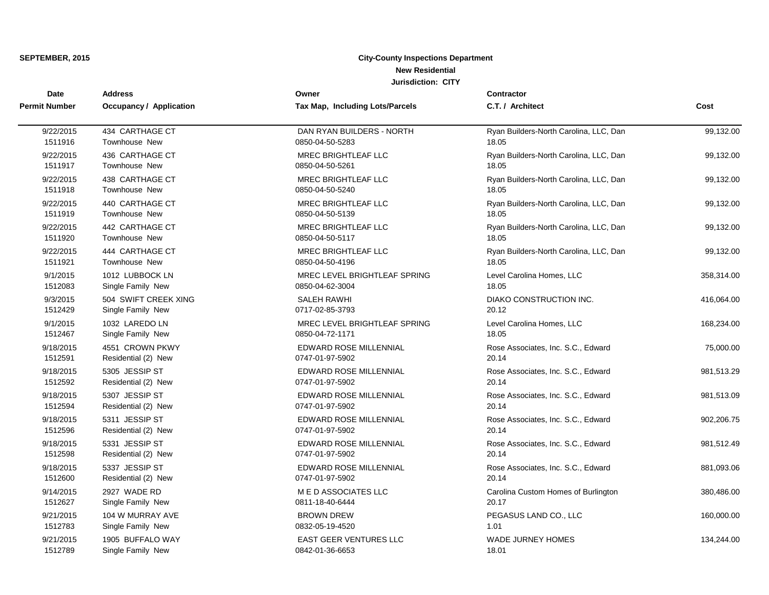| Date<br><b>Permit Number</b> | <b>Address</b>                 | Owner                           | Contractor                             |            |
|------------------------------|--------------------------------|---------------------------------|----------------------------------------|------------|
|                              | <b>Occupancy / Application</b> | Tax Map, Including Lots/Parcels | C.T. / Architect                       | Cost       |
| 9/22/2015                    | 434 CARTHAGE CT                | DAN RYAN BUILDERS - NORTH       | Ryan Builders-North Carolina, LLC, Dan | 99,132.00  |
| 1511916                      | <b>Townhouse New</b>           | 0850-04-50-5283                 | 18.05                                  |            |
| 9/22/2015                    | 436 CARTHAGE CT                | MREC BRIGHTLEAF LLC             | Ryan Builders-North Carolina, LLC, Dan | 99,132.00  |
| 1511917                      | <b>Townhouse New</b>           | 0850-04-50-5261                 | 18.05                                  |            |
| 9/22/2015                    | 438 CARTHAGE CT                | MREC BRIGHTLEAF LLC             | Ryan Builders-North Carolina, LLC, Dan | 99,132.00  |
| 1511918                      | <b>Townhouse New</b>           | 0850-04-50-5240                 | 18.05                                  |            |
| 9/22/2015                    | 440 CARTHAGE CT                | MREC BRIGHTLEAF LLC             | Ryan Builders-North Carolina, LLC, Dan | 99,132.00  |
| 1511919                      | <b>Townhouse New</b>           | 0850-04-50-5139                 | 18.05                                  |            |
| 9/22/2015                    | 442 CARTHAGE CT                | MREC BRIGHTLEAF LLC             | Ryan Builders-North Carolina, LLC, Dan | 99,132.00  |
| 1511920                      | Townhouse New                  | 0850-04-50-5117                 | 18.05                                  |            |
| 9/22/2015                    | 444 CARTHAGE CT                | <b>MREC BRIGHTLEAF LLC</b>      | Ryan Builders-North Carolina, LLC, Dan | 99,132.00  |
| 1511921                      | Townhouse New                  | 0850-04-50-4196                 | 18.05                                  |            |
| 9/1/2015                     | 1012 LUBBOCK LN                | MREC LEVEL BRIGHTLEAF SPRING    | Level Carolina Homes, LLC              | 358,314.00 |
| 1512083                      | Single Family New              | 0850-04-62-3004                 | 18.05                                  |            |
| 9/3/2015                     | 504 SWIFT CREEK XING           | SALEH RAWHI                     | DIAKO CONSTRUCTION INC.                | 416,064.00 |
| 1512429                      | Single Family New              | 0717-02-85-3793                 | 20.12                                  |            |
| 9/1/2015                     | 1032 LAREDO LN                 | MREC LEVEL BRIGHTLEAF SPRING    | Level Carolina Homes, LLC              | 168,234.00 |
| 1512467                      | Single Family New              | 0850-04-72-1171                 | 18.05                                  |            |
| 9/18/2015                    | 4551 CROWN PKWY                | EDWARD ROSE MILLENNIAL          | Rose Associates, Inc. S.C., Edward     | 75,000.00  |
| 1512591                      | Residential (2) New            | 0747-01-97-5902                 | 20.14                                  |            |
| 9/18/2015                    | 5305 JESSIP ST                 | EDWARD ROSE MILLENNIAL          | Rose Associates, Inc. S.C., Edward     | 981,513.29 |
| 1512592                      | Residential (2) New            | 0747-01-97-5902                 | 20.14                                  |            |
| 9/18/2015                    | 5307 JESSIP ST                 | EDWARD ROSE MILLENNIAL          | Rose Associates, Inc. S.C., Edward     | 981,513.09 |
| 1512594                      | Residential (2) New            | 0747-01-97-5902                 | 20.14                                  |            |
| 9/18/2015                    | 5311 JESSIP ST                 | EDWARD ROSE MILLENNIAL          | Rose Associates, Inc. S.C., Edward     | 902,206.75 |
| 1512596                      | Residential (2) New            | 0747-01-97-5902                 | 20.14                                  |            |
| 9/18/2015                    | 5331 JESSIP ST                 | EDWARD ROSE MILLENNIAL          | Rose Associates, Inc. S.C., Edward     | 981,512.49 |
| 1512598                      | Residential (2) New            | 0747-01-97-5902                 | 20.14                                  |            |
| 9/18/2015                    | 5337 JESSIP ST                 | EDWARD ROSE MILLENNIAL          | Rose Associates, Inc. S.C., Edward     | 881,093.06 |
| 1512600                      | Residential (2) New            | 0747-01-97-5902                 | 20.14                                  |            |
| 9/14/2015                    | 2927 WADE RD                   | MED ASSOCIATES LLC              | Carolina Custom Homes of Burlington    | 380,486.00 |
| 1512627                      | Single Family New              | 0811-18-40-6444                 | 20.17                                  |            |
| 9/21/2015                    | 104 W MURRAY AVE               | <b>BROWN DREW</b>               | PEGASUS LAND CO., LLC                  | 160,000.00 |
| 1512783                      | Single Family New              | 0832-05-19-4520                 | 1.01                                   |            |
| 9/21/2015                    | 1905 BUFFALO WAY               | <b>EAST GEER VENTURES LLC</b>   | <b>WADE JURNEY HOMES</b>               | 134,244.00 |
| 1512789                      | Single Family New              | 0842-01-36-6653                 | 18.01                                  |            |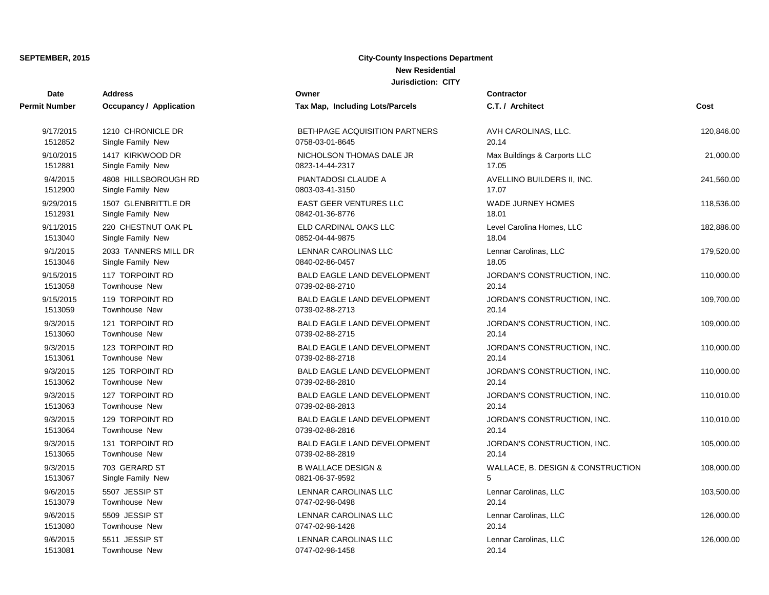| Date                 | <b>Address</b>                 | Owner                                | Contractor                        |            |
|----------------------|--------------------------------|--------------------------------------|-----------------------------------|------------|
| <b>Permit Number</b> | <b>Occupancy / Application</b> | Tax Map, Including Lots/Parcels      | C.T. / Architect                  | Cost       |
| 9/17/2015            | 1210 CHRONICLE DR              | <b>BETHPAGE ACQUISITION PARTNERS</b> | AVH CAROLINAS, LLC.               | 120,846.00 |
| 1512852              | Single Family New              | 0758-03-01-8645                      | 20.14                             |            |
| 9/10/2015            | 1417 KIRKWOOD DR               | NICHOLSON THOMAS DALE JR             | Max Buildings & Carports LLC      | 21,000.00  |
| 1512881              | Single Family New              | 0823-14-44-2317                      | 17.05                             |            |
| 9/4/2015             | 4808 HILLSBOROUGH RD           | PIANTADOSI CLAUDE A                  | AVELLINO BUILDERS II, INC.        | 241,560.00 |
| 1512900              | Single Family New              | 0803-03-41-3150                      | 17.07                             |            |
| 9/29/2015            | 1507 GLENBRITTLE DR            | <b>EAST GEER VENTURES LLC</b>        | <b>WADE JURNEY HOMES</b>          | 118,536.00 |
| 1512931              | Single Family New              | 0842-01-36-8776                      | 18.01                             |            |
| 9/11/2015            | 220 CHESTNUT OAK PL            | ELD CARDINAL OAKS LLC                | Level Carolina Homes, LLC         | 182,886.00 |
| 1513040              | Single Family New              | 0852-04-44-9875                      | 18.04                             |            |
| 9/1/2015             | 2033 TANNERS MILL DR           | LENNAR CAROLINAS LLC                 | Lennar Carolinas, LLC             | 179,520.00 |
| 1513046              | Single Family New              | 0840-02-86-0457                      | 18.05                             |            |
| 9/15/2015            | 117 TORPOINT RD                | <b>BALD EAGLE LAND DEVELOPMENT</b>   | JORDAN'S CONSTRUCTION, INC.       | 110,000.00 |
| 1513058              | Townhouse New                  | 0739-02-88-2710                      | 20.14                             |            |
| 9/15/2015            | 119 TORPOINT RD                | <b>BALD EAGLE LAND DEVELOPMENT</b>   | JORDAN'S CONSTRUCTION, INC.       | 109,700.00 |
| 1513059              | <b>Townhouse New</b>           | 0739-02-88-2713                      | 20.14                             |            |
| 9/3/2015             | 121 TORPOINT RD                | <b>BALD EAGLE LAND DEVELOPMENT</b>   | JORDAN'S CONSTRUCTION, INC.       | 109,000.00 |
| 1513060              | Townhouse New                  | 0739-02-88-2715                      | 20.14                             |            |
| 9/3/2015             | 123 TORPOINT RD                | <b>BALD EAGLE LAND DEVELOPMENT</b>   | JORDAN'S CONSTRUCTION, INC.       | 110,000.00 |
| 1513061              | <b>Townhouse New</b>           | 0739-02-88-2718                      | 20.14                             |            |
| 9/3/2015             | 125 TORPOINT RD                | <b>BALD EAGLE LAND DEVELOPMENT</b>   | JORDAN'S CONSTRUCTION, INC.       | 110,000.00 |
| 1513062              | Townhouse New                  | 0739-02-88-2810                      | 20.14                             |            |
| 9/3/2015             | 127 TORPOINT RD                | <b>BALD EAGLE LAND DEVELOPMENT</b>   | JORDAN'S CONSTRUCTION, INC.       | 110,010.00 |
| 1513063              | <b>Townhouse New</b>           | 0739-02-88-2813                      | 20.14                             |            |
| 9/3/2015             | 129 TORPOINT RD                | <b>BALD EAGLE LAND DEVELOPMENT</b>   | JORDAN'S CONSTRUCTION, INC.       | 110,010.00 |
| 1513064              | Townhouse New                  | 0739-02-88-2816                      | 20.14                             |            |
| 9/3/2015             | 131 TORPOINT RD                | <b>BALD EAGLE LAND DEVELOPMENT</b>   | JORDAN'S CONSTRUCTION, INC.       | 105,000.00 |
| 1513065              | <b>Townhouse New</b>           | 0739-02-88-2819                      | 20.14                             |            |
| 9/3/2015             | 703 GERARD ST                  | <b>B WALLACE DESIGN &amp;</b>        | WALLACE, B. DESIGN & CONSTRUCTION | 108,000.00 |
| 1513067              | Single Family New              | 0821-06-37-9592                      | 5                                 |            |
| 9/6/2015             | 5507 JESSIP ST                 | LENNAR CAROLINAS LLC                 | Lennar Carolinas, LLC             | 103,500.00 |
| 1513079              | Townhouse New                  | 0747-02-98-0498                      | 20.14                             |            |
| 9/6/2015             | 5509 JESSIP ST                 | LENNAR CAROLINAS LLC                 | Lennar Carolinas, LLC             | 126,000.00 |
| 1513080              | Townhouse New                  | 0747-02-98-1428                      | 20.14                             |            |
| 9/6/2015             | 5511 JESSIP ST                 | LENNAR CAROLINAS LLC                 | Lennar Carolinas, LLC             | 126,000.00 |
| 1513081              | Townhouse New                  | 0747-02-98-1458                      | 20.14                             |            |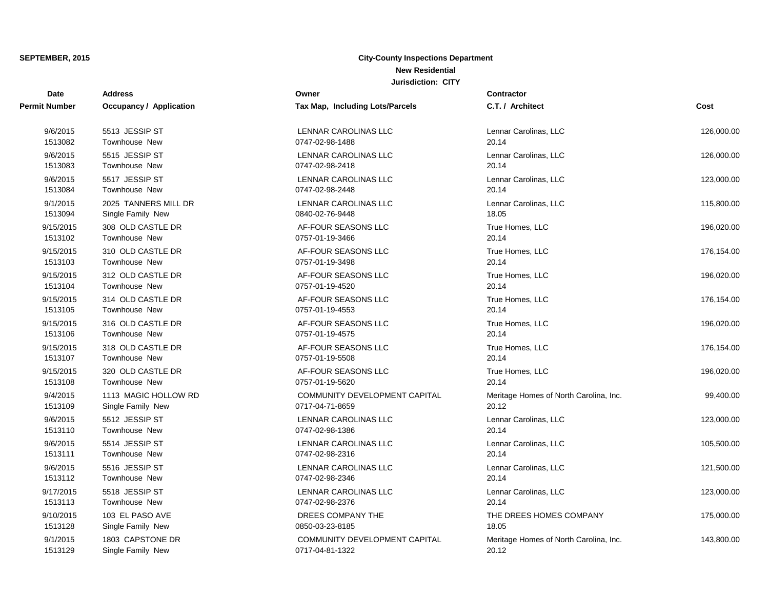| Date                 | <b>Address</b>                 | Owner                           | Contractor                             |            |
|----------------------|--------------------------------|---------------------------------|----------------------------------------|------------|
| <b>Permit Number</b> | <b>Occupancy / Application</b> | Tax Map, Including Lots/Parcels | C.T. / Architect                       | Cost       |
| 9/6/2015             | 5513 JESSIP ST                 | LENNAR CAROLINAS LLC            | Lennar Carolinas, LLC                  | 126,000.00 |
| 1513082              | <b>Townhouse New</b>           | 0747-02-98-1488                 | 20.14                                  |            |
| 9/6/2015             | 5515 JESSIP ST                 | LENNAR CAROLINAS LLC            | Lennar Carolinas, LLC                  | 126,000.00 |
| 1513083              | <b>Townhouse New</b>           | 0747-02-98-2418                 | 20.14                                  |            |
| 9/6/2015             | 5517 JESSIP ST                 | LENNAR CAROLINAS LLC            | Lennar Carolinas, LLC                  | 123,000.00 |
| 1513084              | <b>Townhouse New</b>           | 0747-02-98-2448                 | 20.14                                  |            |
| 9/1/2015             | 2025 TANNERS MILL DR           | LENNAR CAROLINAS LLC            | Lennar Carolinas, LLC                  | 115,800.00 |
| 1513094              | Single Family New              | 0840-02-76-9448                 | 18.05                                  |            |
| 9/15/2015            | 308 OLD CASTLE DR              | AF-FOUR SEASONS LLC             | True Homes, LLC                        | 196,020.00 |
| 1513102              | <b>Townhouse New</b>           | 0757-01-19-3466                 | 20.14                                  |            |
| 9/15/2015            | 310 OLD CASTLE DR              | AF-FOUR SEASONS LLC             | True Homes, LLC                        | 176,154.00 |
| 1513103              | <b>Townhouse New</b>           | 0757-01-19-3498                 | 20.14                                  |            |
| 9/15/2015            | 312 OLD CASTLE DR              | AF-FOUR SEASONS LLC             | True Homes, LLC                        | 196,020.00 |
| 1513104              | <b>Townhouse New</b>           | 0757-01-19-4520                 | 20.14                                  |            |
| 9/15/2015            | 314 OLD CASTLE DR              | AF-FOUR SEASONS LLC             | True Homes, LLC                        | 176,154.00 |
| 1513105              | <b>Townhouse New</b>           | 0757-01-19-4553                 | 20.14                                  |            |
| 9/15/2015            | 316 OLD CASTLE DR              | AF-FOUR SEASONS LLC             | True Homes, LLC                        | 196,020.00 |
| 1513106              | Townhouse New                  | 0757-01-19-4575                 | 20.14                                  |            |
| 9/15/2015            | 318 OLD CASTLE DR              | AF-FOUR SEASONS LLC             | True Homes, LLC                        | 176,154.00 |
| 1513107              | <b>Townhouse New</b>           | 0757-01-19-5508                 | 20.14                                  |            |
| 9/15/2015            | 320 OLD CASTLE DR              | AF-FOUR SEASONS LLC             | True Homes, LLC                        | 196,020.00 |
| 1513108              | Townhouse New                  | 0757-01-19-5620                 | 20.14                                  |            |
| 9/4/2015             | 1113 MAGIC HOLLOW RD           | COMMUNITY DEVELOPMENT CAPITAL   | Meritage Homes of North Carolina, Inc. | 99,400.00  |
| 1513109              | Single Family New              | 0717-04-71-8659                 | 20.12                                  |            |
| 9/6/2015             | 5512 JESSIP ST                 | LENNAR CAROLINAS LLC            | Lennar Carolinas, LLC                  | 123,000.00 |
| 1513110              | Townhouse New                  | 0747-02-98-1386                 | 20.14                                  |            |
| 9/6/2015             | 5514 JESSIP ST                 | LENNAR CAROLINAS LLC            | Lennar Carolinas, LLC                  | 105,500.00 |
| 1513111              | Townhouse New                  | 0747-02-98-2316                 | 20.14                                  |            |
| 9/6/2015             | 5516 JESSIP ST                 | LENNAR CAROLINAS LLC            | Lennar Carolinas, LLC                  | 121,500.00 |
| 1513112              | Townhouse New                  | 0747-02-98-2346                 | 20.14                                  |            |
| 9/17/2015            | 5518 JESSIP ST                 | LENNAR CAROLINAS LLC            | Lennar Carolinas, LLC                  | 123,000.00 |
| 1513113              | <b>Townhouse New</b>           | 0747-02-98-2376                 | 20.14                                  |            |
| 9/10/2015            | 103 EL PASO AVE                | DREES COMPANY THE               | THE DREES HOMES COMPANY                | 175,000.00 |
| 1513128              | Single Family New              | 0850-03-23-8185                 | 18.05                                  |            |
| 9/1/2015             | 1803 CAPSTONE DR               | COMMUNITY DEVELOPMENT CAPITAL   | Meritage Homes of North Carolina, Inc. | 143,800.00 |
| 1513129              | Single Family New              | 0717-04-81-1322                 | 20.12                                  |            |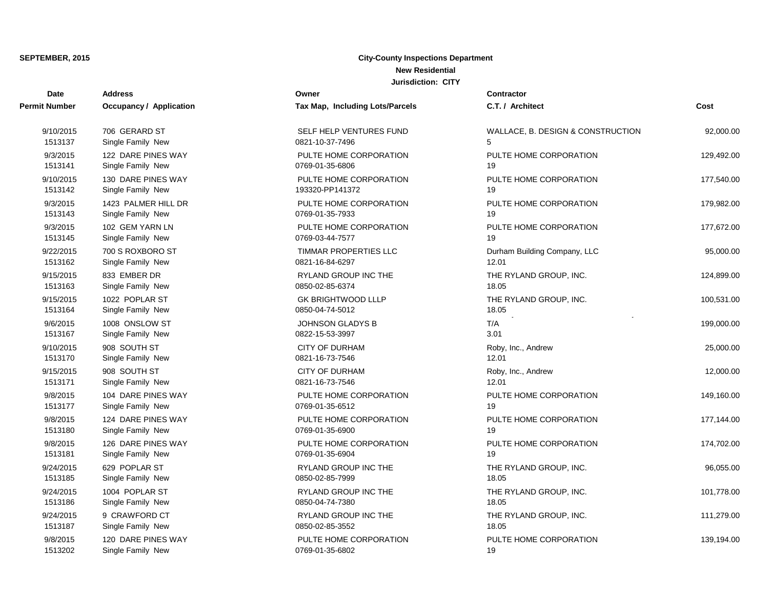| <b>Date</b>   | <b>Address</b>          | Owner                           | Contractor                        |            |
|---------------|-------------------------|---------------------------------|-----------------------------------|------------|
| Permit Number | Occupancy / Application | Tax Map, Including Lots/Parcels | C.T. / Architect                  | Cost       |
| 9/10/2015     | 706 GERARD ST           | SELF HELP VENTURES FUND         | WALLACE, B. DESIGN & CONSTRUCTION | 92,000.00  |
| 1513137       | Single Family New       | 0821-10-37-7496                 | 5                                 |            |
| 9/3/2015      | 122 DARE PINES WAY      | PULTE HOME CORPORATION          | PULTE HOME CORPORATION            | 129,492.00 |
| 1513141       | Single Family New       | 0769-01-35-6806                 | 19                                |            |
| 9/10/2015     | 130 DARE PINES WAY      | PULTE HOME CORPORATION          | PULTE HOME CORPORATION            | 177,540.00 |
| 1513142       | Single Family New       | 193320-PP141372                 | 19                                |            |
| 9/3/2015      | 1423 PALMER HILL DR     | PULTE HOME CORPORATION          | PULTE HOME CORPORATION            | 179,982.00 |
| 1513143       | Single Family New       | 0769-01-35-7933                 | 19                                |            |
| 9/3/2015      | 102 GEM YARN LN         | PULTE HOME CORPORATION          | PULTE HOME CORPORATION            | 177,672.00 |
| 1513145       | Single Family New       | 0769-03-44-7577                 | 19                                |            |
| 9/22/2015     | 700 S ROXBORO ST        | TIMMAR PROPERTIES LLC           | Durham Building Company, LLC      | 95,000.00  |
| 1513162       | Single Family New       | 0821-16-84-6297                 | 12.01                             |            |
| 9/15/2015     | 833 EMBER DR            | RYLAND GROUP INC THE            | THE RYLAND GROUP, INC.            | 124,899.00 |
| 1513163       | Single Family New       | 0850-02-85-6374                 | 18.05                             |            |
| 9/15/2015     | 1022 POPLAR ST          | <b>GK BRIGHTWOOD LLLP</b>       | THE RYLAND GROUP, INC.            | 100,531.00 |
| 1513164       | Single Family New       | 0850-04-74-5012                 | 18.05                             |            |
| 9/6/2015      | 1008 ONSLOW ST          | <b>JOHNSON GLADYS B</b>         | T/A                               | 199,000.00 |
| 1513167       | Single Family New       | 0822-15-53-3997                 | 3.01                              |            |
| 9/10/2015     | 908 SOUTH ST            | <b>CITY OF DURHAM</b>           | Roby, Inc., Andrew                | 25,000.00  |
| 1513170       | Single Family New       | 0821-16-73-7546                 | 12.01                             |            |
| 9/15/2015     | 908 SOUTH ST            | <b>CITY OF DURHAM</b>           | Roby, Inc., Andrew                | 12,000.00  |
| 1513171       | Single Family New       | 0821-16-73-7546                 | 12.01                             |            |
| 9/8/2015      | 104 DARE PINES WAY      | PULTE HOME CORPORATION          | PULTE HOME CORPORATION            | 149,160.00 |
| 1513177       | Single Family New       | 0769-01-35-6512                 | 19                                |            |
| 9/8/2015      | 124 DARE PINES WAY      | PULTE HOME CORPORATION          | PULTE HOME CORPORATION            | 177,144.00 |
| 1513180       | Single Family New       | 0769-01-35-6900                 | 19                                |            |
| 9/8/2015      | 126 DARE PINES WAY      | PULTE HOME CORPORATION          | PULTE HOME CORPORATION            | 174,702.00 |
| 1513181       | Single Family New       | 0769-01-35-6904                 | 19                                |            |
| 9/24/2015     | 629 POPLAR ST           | RYLAND GROUP INC THE            | THE RYLAND GROUP, INC.            | 96,055.00  |
| 1513185       | Single Family New       | 0850-02-85-7999                 | 18.05                             |            |
| 9/24/2015     | 1004 POPLAR ST          | RYLAND GROUP INC THE            | THE RYLAND GROUP, INC.            | 101,778.00 |
| 1513186       | Single Family New       | 0850-04-74-7380                 | 18.05                             |            |
| 9/24/2015     | 9 CRAWFORD CT           | RYLAND GROUP INC THE            | THE RYLAND GROUP, INC.            | 111,279.00 |
| 1513187       | Single Family New       | 0850-02-85-3552                 | 18.05                             |            |
| 9/8/2015      | 120 DARE PINES WAY      | PULTE HOME CORPORATION          | PULTE HOME CORPORATION            | 139,194.00 |
| 1513202       | Single Family New       | 0769-01-35-6802                 | 19                                |            |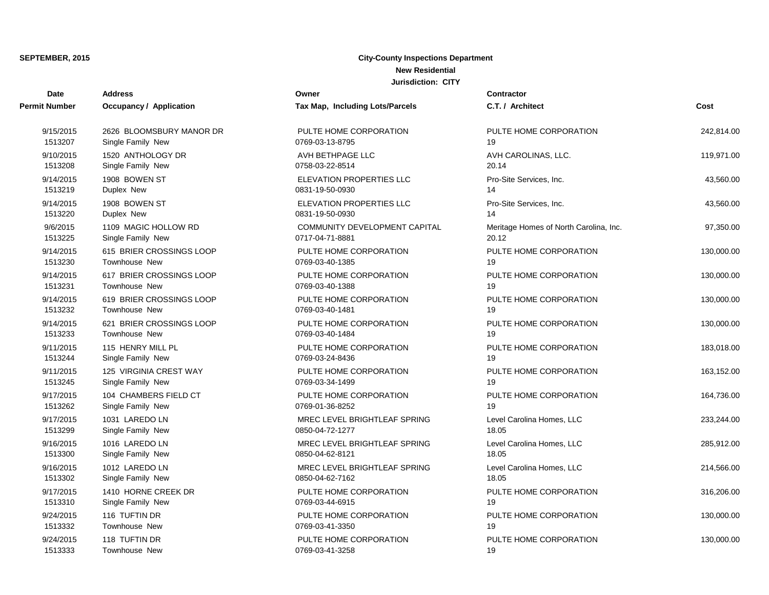| Date                 | <b>Address</b>           | Owner                           | Contractor                             |            |
|----------------------|--------------------------|---------------------------------|----------------------------------------|------------|
| <b>Permit Number</b> | Occupancy / Application  | Tax Map, Including Lots/Parcels | C.T. / Architect                       | Cost       |
| 9/15/2015            | 2626 BLOOMSBURY MANOR DR | PULTE HOME CORPORATION          | PULTE HOME CORPORATION                 | 242,814.00 |
| 1513207              | Single Family New        | 0769-03-13-8795                 | 19                                     |            |
| 9/10/2015            | 1520 ANTHOLOGY DR        | AVH BETHPAGE LLC                | AVH CAROLINAS, LLC.                    | 119,971.00 |
| 1513208              | Single Family New        | 0758-03-22-8514                 | 20.14                                  |            |
| 9/14/2015            | 1908 BOWEN ST            | ELEVATION PROPERTIES LLC        | Pro-Site Services, Inc.                | 43,560.00  |
| 1513219              | Duplex New               | 0831-19-50-0930                 | 14                                     |            |
| 9/14/2015            | 1908 BOWEN ST            | <b>ELEVATION PROPERTIES LLC</b> | Pro-Site Services, Inc.                | 43,560.00  |
| 1513220              | Duplex New               | 0831-19-50-0930                 | 14                                     |            |
| 9/6/2015             | 1109 MAGIC HOLLOW RD     | COMMUNITY DEVELOPMENT CAPITAL   | Meritage Homes of North Carolina, Inc. | 97,350.00  |
| 1513225              | Single Family New        | 0717-04-71-8881                 | 20.12                                  |            |
| 9/14/2015            | 615 BRIER CROSSINGS LOOP | PULTE HOME CORPORATION          | PULTE HOME CORPORATION                 | 130,000.00 |
| 1513230              | Townhouse New            | 0769-03-40-1385                 | 19                                     |            |
| 9/14/2015            | 617 BRIER CROSSINGS LOOP | PULTE HOME CORPORATION          | PULTE HOME CORPORATION                 | 130,000.00 |
| 1513231              | Townhouse New            | 0769-03-40-1388                 | 19                                     |            |
| 9/14/2015            | 619 BRIER CROSSINGS LOOP | PULTE HOME CORPORATION          | PULTE HOME CORPORATION                 | 130,000.00 |
| 1513232              | Townhouse New            | 0769-03-40-1481                 | 19                                     |            |
| 9/14/2015            | 621 BRIER CROSSINGS LOOP | PULTE HOME CORPORATION          | PULTE HOME CORPORATION                 | 130,000.00 |
| 1513233              | <b>Townhouse New</b>     | 0769-03-40-1484                 | 19                                     |            |
| 9/11/2015            | 115 HENRY MILL PL        | PULTE HOME CORPORATION          | PULTE HOME CORPORATION                 | 183,018.00 |
| 1513244              | Single Family New        | 0769-03-24-8436                 | 19                                     |            |
| 9/11/2015            | 125 VIRGINIA CREST WAY   | PULTE HOME CORPORATION          | PULTE HOME CORPORATION                 | 163,152.00 |
| 1513245              | Single Family New        | 0769-03-34-1499                 | 19                                     |            |
| 9/17/2015            | 104 CHAMBERS FIELD CT    | PULTE HOME CORPORATION          | PULTE HOME CORPORATION                 | 164,736.00 |
| 1513262              | Single Family New        | 0769-01-36-8252                 | 19                                     |            |
| 9/17/2015            | 1031 LAREDO LN           | MREC LEVEL BRIGHTLEAF SPRING    | Level Carolina Homes, LLC              | 233,244.00 |
| 1513299              | Single Family New        | 0850-04-72-1277                 | 18.05                                  |            |
| 9/16/2015            | 1016 LAREDO LN           | MREC LEVEL BRIGHTLEAF SPRING    | Level Carolina Homes, LLC              | 285,912.00 |
| 1513300              | Single Family New        | 0850-04-62-8121                 | 18.05                                  |            |
| 9/16/2015            | 1012 LAREDO LN           | MREC LEVEL BRIGHTLEAF SPRING    | Level Carolina Homes, LLC              | 214,566.00 |
| 1513302              | Single Family New        | 0850-04-62-7162                 | 18.05                                  |            |
| 9/17/2015            | 1410 HORNE CREEK DR      | PULTE HOME CORPORATION          | PULTE HOME CORPORATION                 | 316,206.00 |
| 1513310              | Single Family New        | 0769-03-44-6915                 | 19                                     |            |
| 9/24/2015            | 116 TUFTIN DR            | PULTE HOME CORPORATION          | PULTE HOME CORPORATION                 | 130,000.00 |
| 1513332              | <b>Townhouse New</b>     | 0769-03-41-3350                 | 19                                     |            |
| 9/24/2015            | 118 TUFTIN DR            | PULTE HOME CORPORATION          | PULTE HOME CORPORATION                 | 130,000.00 |
| 1513333              | Townhouse New            | 0769-03-41-3258                 | 19                                     |            |